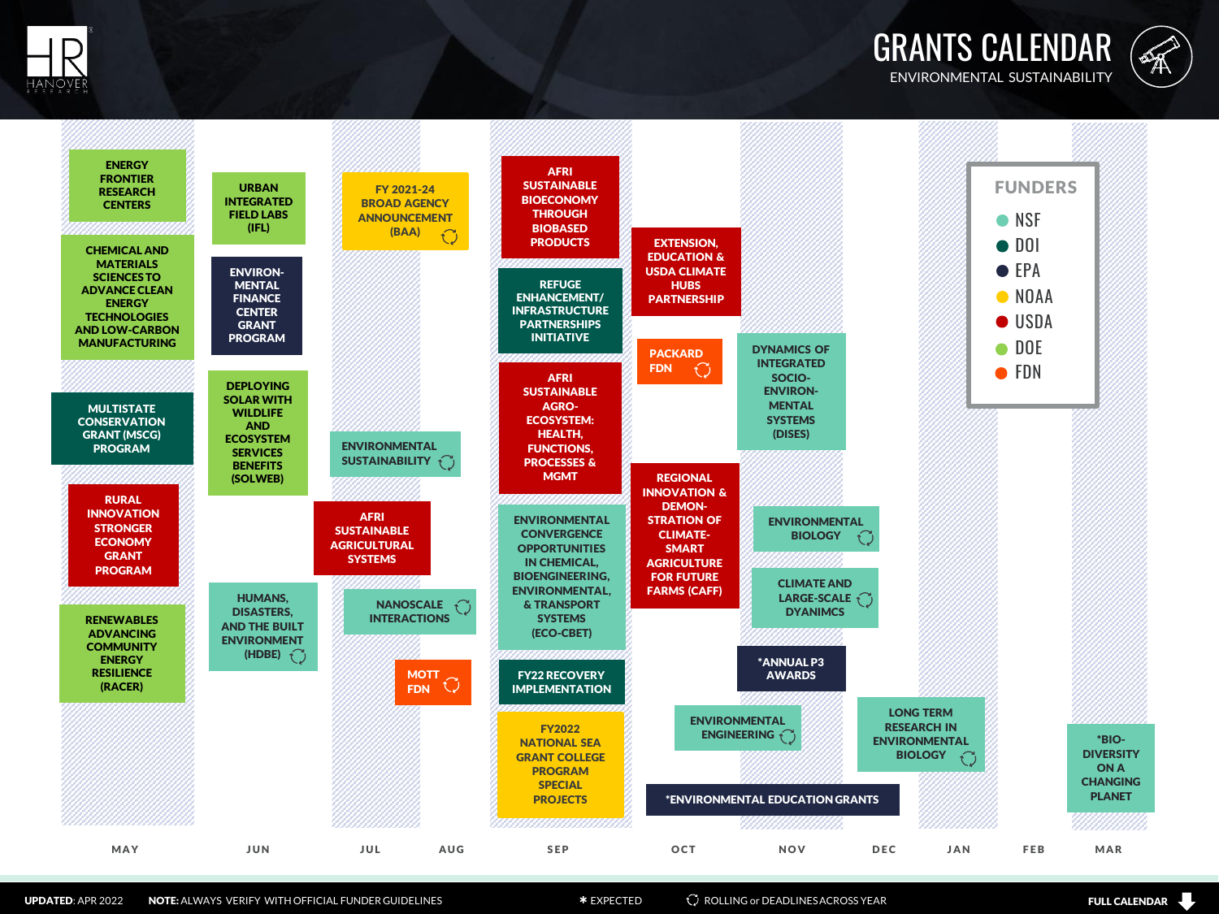GRANTS CALENDAR ENVIRONMENTAL SUSTAINABILITY







UPDATED: APR 2022 NOTE: ALWAYS VERIFY WITH OFFICIAL FUNDER GUIDELINES **and Section Rolling of STATE ACTION** CONDUCTION CONTENTS **FULL CALENDAR** 

 $\Box$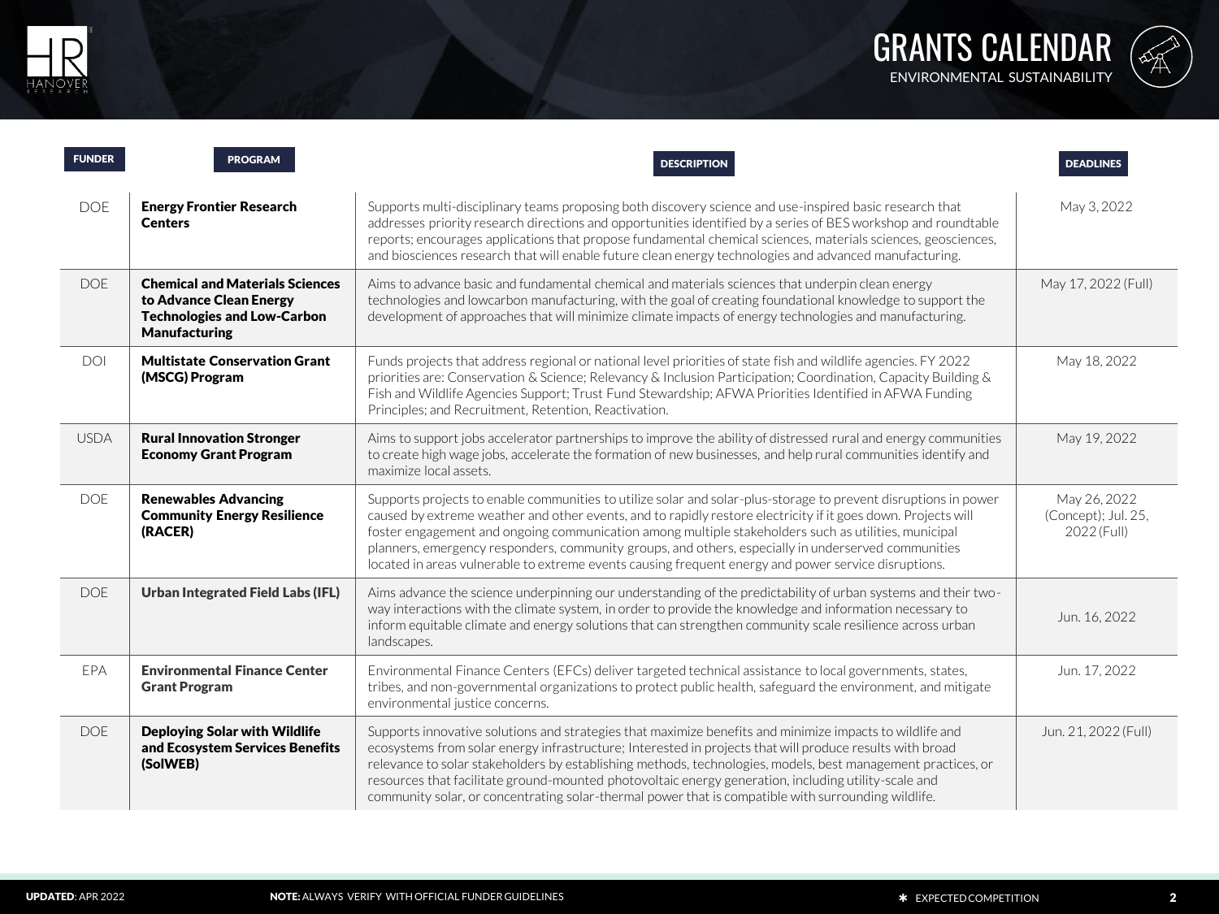



| <b>FUNDER</b> | <b>PROGRAM</b>                                                                                                                  | <b>DESCRIPTION</b>                                                                                                                                                                                                                                                                                                                                                                                                                                                                                                                                      | <b>DEADLINES</b>                                   |
|---------------|---------------------------------------------------------------------------------------------------------------------------------|---------------------------------------------------------------------------------------------------------------------------------------------------------------------------------------------------------------------------------------------------------------------------------------------------------------------------------------------------------------------------------------------------------------------------------------------------------------------------------------------------------------------------------------------------------|----------------------------------------------------|
| <b>DOE</b>    | <b>Energy Frontier Research</b><br><b>Centers</b>                                                                               | Supports multi-disciplinary teams proposing both discovery science and use-inspired basic research that<br>addresses priority research directions and opportunities identified by a series of BES workshop and roundtable<br>reports; encourages applications that propose fundamental chemical sciences, materials sciences, geosciences,<br>and biosciences research that will enable future clean energy technologies and advanced manufacturing.                                                                                                    | May 3, 2022                                        |
| <b>DOE</b>    | <b>Chemical and Materials Sciences</b><br>to Advance Clean Energy<br><b>Technologies and Low-Carbon</b><br><b>Manufacturing</b> | Aims to advance basic and fundamental chemical and materials sciences that underpin clean energy<br>technologies and lowcarbon manufacturing, with the goal of creating foundational knowledge to support the<br>development of approaches that will minimize climate impacts of energy technologies and manufacturing.                                                                                                                                                                                                                                 | May 17, 2022 (Full)                                |
| DOI           | <b>Multistate Conservation Grant</b><br>(MSCG) Program                                                                          | Funds projects that address regional or national level priorities of state fish and wildlife agencies. FY 2022<br>priorities are: Conservation & Science; Relevancy & Inclusion Participation; Coordination, Capacity Building &<br>Fish and Wildlife Agencies Support; Trust Fund Stewardship; AFWA Priorities Identified in AFWA Funding<br>Principles; and Recruitment, Retention, Reactivation.                                                                                                                                                     | May 18, 2022                                       |
| <b>USDA</b>   | <b>Rural Innovation Stronger</b><br><b>Economy Grant Program</b>                                                                | Aims to support jobs accelerator partnerships to improve the ability of distressed rural and energy communities<br>to create high wage jobs, accelerate the formation of new businesses, and help rural communities identify and<br>maximize local assets.                                                                                                                                                                                                                                                                                              | May 19, 2022                                       |
| <b>DOE</b>    | <b>Renewables Advancing</b><br><b>Community Energy Resilience</b><br>(RACER)                                                    | Supports projects to enable communities to utilize solar and solar-plus-storage to prevent disruptions in power<br>caused by extreme weather and other events, and to rapidly restore electricity if it goes down. Projects will<br>foster engagement and ongoing communication among multiple stakeholders such as utilities, municipal<br>planners, emergency responders, community groups, and others, especially in underserved communities<br>located in areas vulnerable to extreme events causing frequent energy and power service disruptions. | May 26, 2022<br>(Concept); Jul. 25,<br>2022 (Full) |
| <b>DOE</b>    | <b>Urban Integrated Field Labs (IFL)</b>                                                                                        | Aims advance the science underpinning our understanding of the predictability of urban systems and their two-<br>way interactions with the climate system, in order to provide the knowledge and information necessary to<br>inform equitable climate and energy solutions that can strengthen community scale resilience across urban<br>landscapes.                                                                                                                                                                                                   | Jun. 16, 2022                                      |
| EPA           | <b>Environmental Finance Center</b><br><b>Grant Program</b>                                                                     | Environmental Finance Centers (EFCs) deliver targeted technical assistance to local governments, states,<br>tribes, and non-governmental organizations to protect public health, safeguard the environment, and mitigate<br>environmental justice concerns.                                                                                                                                                                                                                                                                                             | Jun. 17, 2022                                      |
| <b>DOE</b>    | <b>Deploying Solar with Wildlife</b><br>and Ecosystem Services Benefits<br>(SolWEB)                                             | Supports innovative solutions and strategies that maximize benefits and minimize impacts to wildlife and<br>ecosystems from solar energy infrastructure; Interested in projects that will produce results with broad<br>relevance to solar stakeholders by establishing methods, technologies, models, best management practices, or<br>resources that facilitate ground-mounted photovoltaic energy generation, including utility-scale and<br>community solar, or concentrating solar-thermal power that is compatible with surrounding wildlife.     | Jun. 21, 2022 (Full)                               |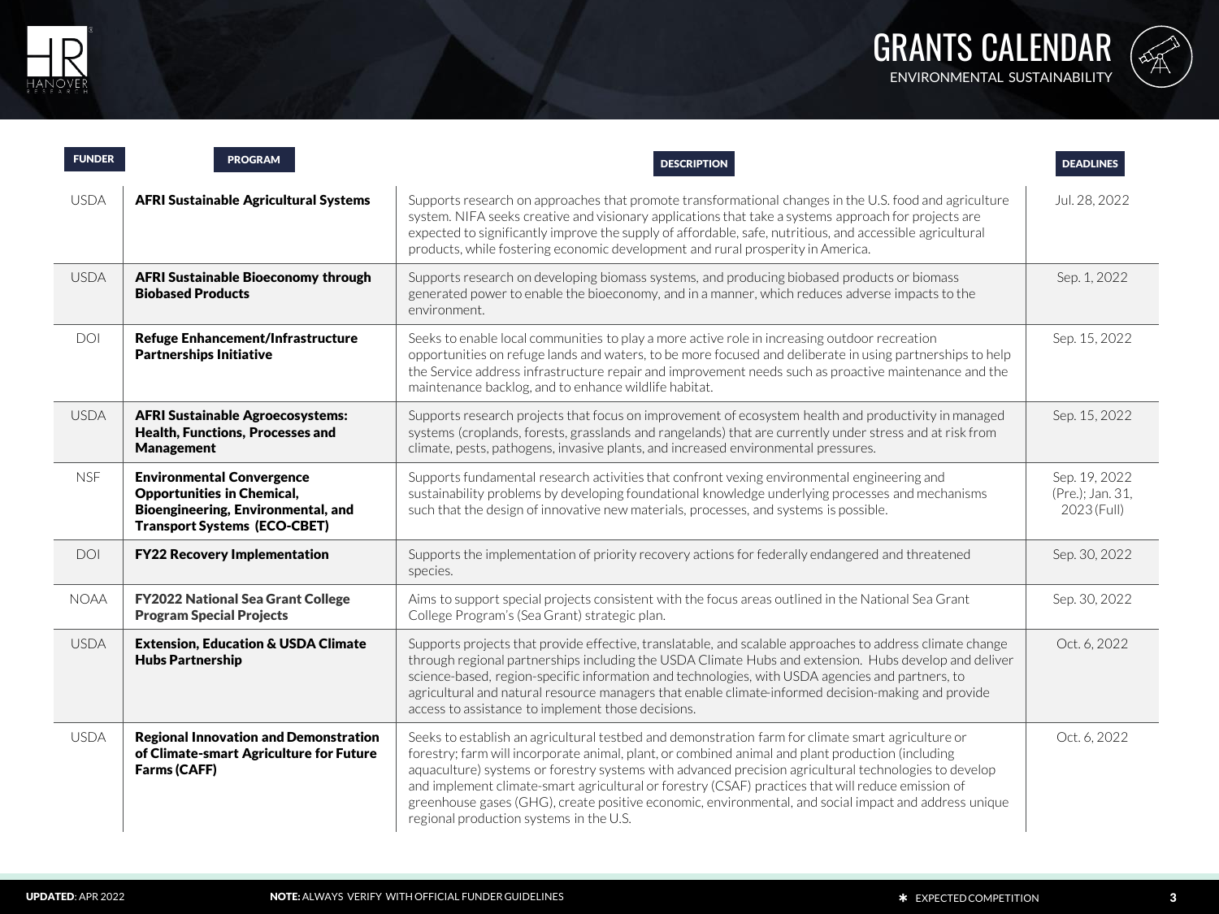



| <b>FUNDER</b> | <b>PROGRAM</b>                                                                                                                                     | <b>DESCRIPTION</b>                                                                                                                                                                                                                                                                                                                                                                                                                                                                                                                                                         | <b>DEADLINES</b>                                 |
|---------------|----------------------------------------------------------------------------------------------------------------------------------------------------|----------------------------------------------------------------------------------------------------------------------------------------------------------------------------------------------------------------------------------------------------------------------------------------------------------------------------------------------------------------------------------------------------------------------------------------------------------------------------------------------------------------------------------------------------------------------------|--------------------------------------------------|
| <b>USDA</b>   | AFRI Sustainable Agricultural Systems                                                                                                              | Supports research on approaches that promote transformational changes in the U.S. food and agriculture<br>system. NIFA seeks creative and visionary applications that take a systems approach for projects are<br>expected to significantly improve the supply of affordable, safe, nutritious, and accessible agricultural<br>products, while fostering economic development and rural prosperity in America.                                                                                                                                                             | Jul. 28, 2022                                    |
| <b>USDA</b>   | <b>AFRI Sustainable Bioeconomy through</b><br><b>Biobased Products</b>                                                                             | Supports research on developing biomass systems, and producing biobased products or biomass<br>generated power to enable the bioeconomy, and in a manner, which reduces adverse impacts to the<br>environment.                                                                                                                                                                                                                                                                                                                                                             | Sep. 1, 2022                                     |
| <b>DOI</b>    | <b>Refuge Enhancement/Infrastructure</b><br><b>Partnerships Initiative</b>                                                                         | Seeks to enable local communities to play a more active role in increasing outdoor recreation<br>opportunities on refuge lands and waters, to be more focused and deliberate in using partnerships to help<br>the Service address infrastructure repair and improvement needs such as proactive maintenance and the<br>maintenance backlog, and to enhance wildlife habitat.                                                                                                                                                                                               | Sep. 15, 2022                                    |
| <b>USDA</b>   | <b>AFRI Sustainable Agroecosystems:</b><br><b>Health, Functions, Processes and</b><br><b>Management</b>                                            | Supports research projects that focus on improvement of ecosystem health and productivity in managed<br>systems (croplands, forests, grasslands and rangelands) that are currently under stress and at risk from<br>climate, pests, pathogens, invasive plants, and increased environmental pressures.                                                                                                                                                                                                                                                                     | Sep. 15, 2022                                    |
| <b>NSF</b>    | <b>Environmental Convergence</b><br><b>Opportunities in Chemical,</b><br>Bioengineering, Environmental, and<br><b>Transport Systems (ECO-CBET)</b> | Supports fundamental research activities that confront vexing environmental engineering and<br>sustainability problems by developing foundational knowledge underlying processes and mechanisms<br>such that the design of innovative new materials, processes, and systems is possible.                                                                                                                                                                                                                                                                                   | Sep. 19, 2022<br>(Pre.); Jan. 31,<br>2023 (Full) |
| <b>DOI</b>    | <b>FY22 Recovery Implementation</b>                                                                                                                | Supports the implementation of priority recovery actions for federally endangered and threatened<br>species.                                                                                                                                                                                                                                                                                                                                                                                                                                                               | Sep. 30, 2022                                    |
| <b>NOAA</b>   | <b>FY2022 National Sea Grant College</b><br><b>Program Special Projects</b>                                                                        | Aims to support special projects consistent with the focus areas outlined in the National Sea Grant<br>College Program's (Sea Grant) strategic plan.                                                                                                                                                                                                                                                                                                                                                                                                                       | Sep. 30, 2022                                    |
| <b>USDA</b>   | <b>Extension, Education &amp; USDA Climate</b><br><b>Hubs Partnership</b>                                                                          | Supports projects that provide effective, translatable, and scalable approaches to address climate change<br>through regional partnerships including the USDA Climate Hubs and extension. Hubs develop and deliver<br>science-based, region-specific information and technologies, with USDA agencies and partners, to<br>agricultural and natural resource managers that enable climate-informed decision-making and provide<br>access to assistance to implement those decisions.                                                                                        | Oct. 6, 2022                                     |
| <b>USDA</b>   | <b>Regional Innovation and Demonstration</b><br>of Climate-smart Agriculture for Future<br>Farms (CAFF)                                            | Seeks to establish an agricultural testbed and demonstration farm for climate smart agriculture or<br>forestry; farm will incorporate animal, plant, or combined animal and plant production (including<br>aquaculture) systems or forestry systems with advanced precision agricultural technologies to develop<br>and implement climate-smart agricultural or forestry (CSAF) practices that will reduce emission of<br>greenhouse gases (GHG), create positive economic, environmental, and social impact and address unique<br>regional production systems in the U.S. | Oct. 6, 2022                                     |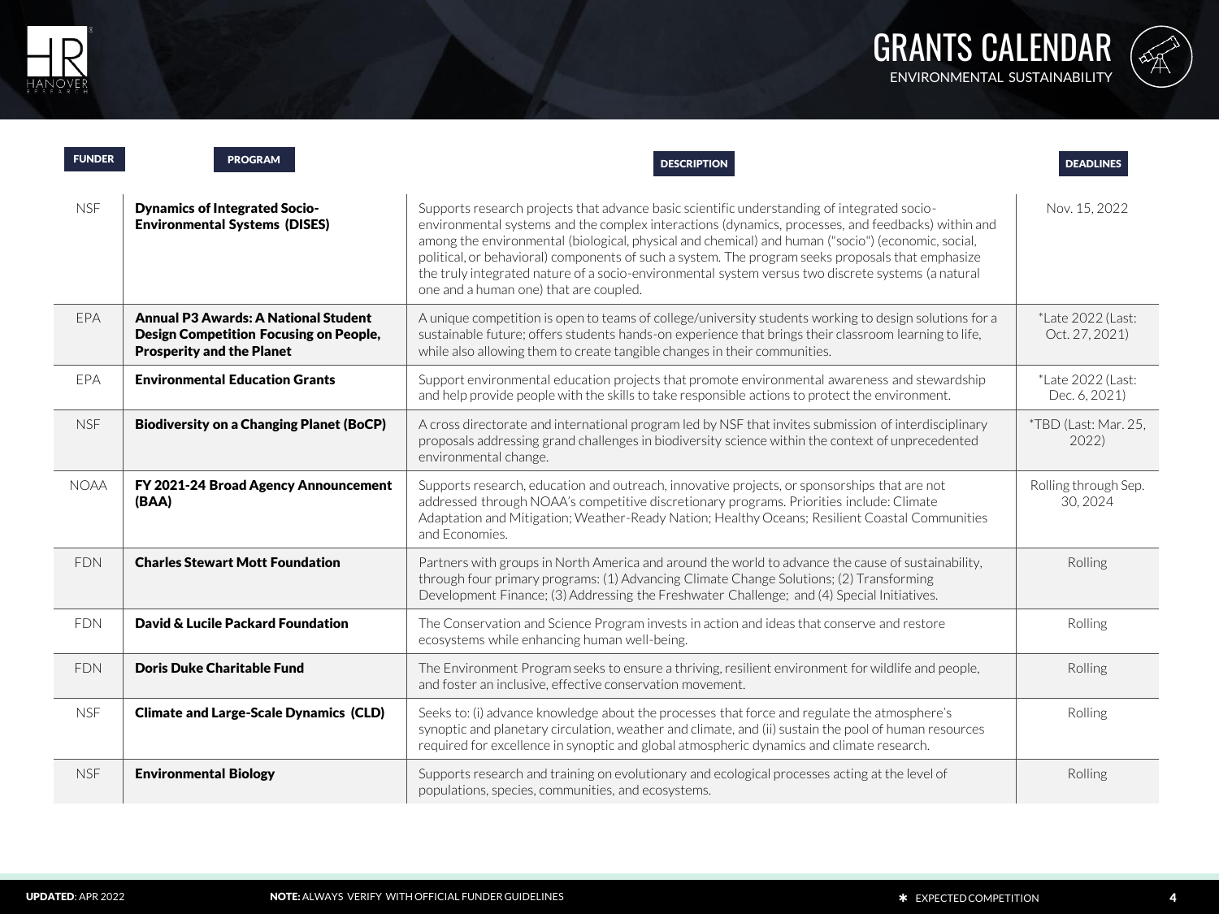



| <b>FUNDER</b> | <b>PROGRAM</b>                                                                                                                   | <b>DESCRIPTION</b>                                                                                                                                                                                                                                                                                                                                                                                                                                                                                                                                           | <b>DEADLINES</b>                    |
|---------------|----------------------------------------------------------------------------------------------------------------------------------|--------------------------------------------------------------------------------------------------------------------------------------------------------------------------------------------------------------------------------------------------------------------------------------------------------------------------------------------------------------------------------------------------------------------------------------------------------------------------------------------------------------------------------------------------------------|-------------------------------------|
| <b>NSF</b>    | <b>Dynamics of Integrated Socio-</b><br><b>Environmental Systems (DISES)</b>                                                     | Supports research projects that advance basic scientific understanding of integrated socio-<br>environmental systems and the complex interactions (dynamics, processes, and feedbacks) within and<br>among the environmental (biological, physical and chemical) and human ("socio") (economic, social,<br>political, or behavioral) components of such a system. The program seeks proposals that emphasize<br>the truly integrated nature of a socio-environmental system versus two discrete systems (a natural<br>one and a human one) that are coupled. | Nov. 15, 2022                       |
| EPA           | <b>Annual P3 Awards: A National Student</b><br><b>Design Competition Focusing on People,</b><br><b>Prosperity and the Planet</b> | A unique competition is open to teams of college/university students working to design solutions for a<br>sustainable future; offers students hands-on experience that brings their classroom learning to life,<br>while also allowing them to create tangible changes in their communities.                                                                                                                                                                                                                                                                 | *Late 2022 (Last:<br>Oct. 27, 2021) |
| <b>FPA</b>    | <b>Environmental Education Grants</b>                                                                                            | Support environmental education projects that promote environmental awareness and stewardship<br>and help provide people with the skills to take responsible actions to protect the environment.                                                                                                                                                                                                                                                                                                                                                             | *Late 2022 (Last:<br>Dec. 6, 2021)  |
| <b>NSF</b>    | <b>Biodiversity on a Changing Planet (BoCP)</b>                                                                                  | A cross directorate and international program led by NSF that invites submission of interdisciplinary<br>proposals addressing grand challenges in biodiversity science within the context of unprecedented<br>environmental change.                                                                                                                                                                                                                                                                                                                          | *TBD (Last: Mar. 25,<br>2022)       |
| <b>NOAA</b>   | FY 2021-24 Broad Agency Announcement<br>(BAA)                                                                                    | Supports research, education and outreach, innovative projects, or sponsorships that are not<br>addressed through NOAA's competitive discretionary programs. Priorities include: Climate<br>Adaptation and Mitigation; Weather-Ready Nation; Healthy Oceans; Resilient Coastal Communities<br>and Economies.                                                                                                                                                                                                                                                 | Rolling through Sep.<br>30.2024     |
| <b>FDN</b>    | <b>Charles Stewart Mott Foundation</b>                                                                                           | Partners with groups in North America and around the world to advance the cause of sustainability.<br>through four primary programs: (1) Advancing Climate Change Solutions; (2) Transforming<br>Development Finance; (3) Addressing the Freshwater Challenge; and (4) Special Initiatives.                                                                                                                                                                                                                                                                  | Rolling                             |
| <b>FDN</b>    | David & Lucile Packard Foundation                                                                                                | The Conservation and Science Program invests in action and ideas that conserve and restore<br>ecosystems while enhancing human well-being.                                                                                                                                                                                                                                                                                                                                                                                                                   | Rolling                             |
| <b>FDN</b>    | <b>Doris Duke Charitable Fund</b>                                                                                                | The Environment Program seeks to ensure a thriving, resilient environment for wildlife and people,<br>and foster an inclusive, effective conservation movement.                                                                                                                                                                                                                                                                                                                                                                                              | Rolling                             |
| <b>NSF</b>    | <b>Climate and Large-Scale Dynamics (CLD)</b>                                                                                    | Seeks to: (i) advance knowledge about the processes that force and regulate the atmosphere's<br>synoptic and planetary circulation, weather and climate, and (ii) sustain the pool of human resources<br>required for excellence in synoptic and global atmospheric dynamics and climate research.                                                                                                                                                                                                                                                           | Rolling                             |
| <b>NSF</b>    | <b>Environmental Biology</b>                                                                                                     | Supports research and training on evolutionary and ecological processes acting at the level of<br>populations, species, communities, and ecosystems.                                                                                                                                                                                                                                                                                                                                                                                                         | Rolling                             |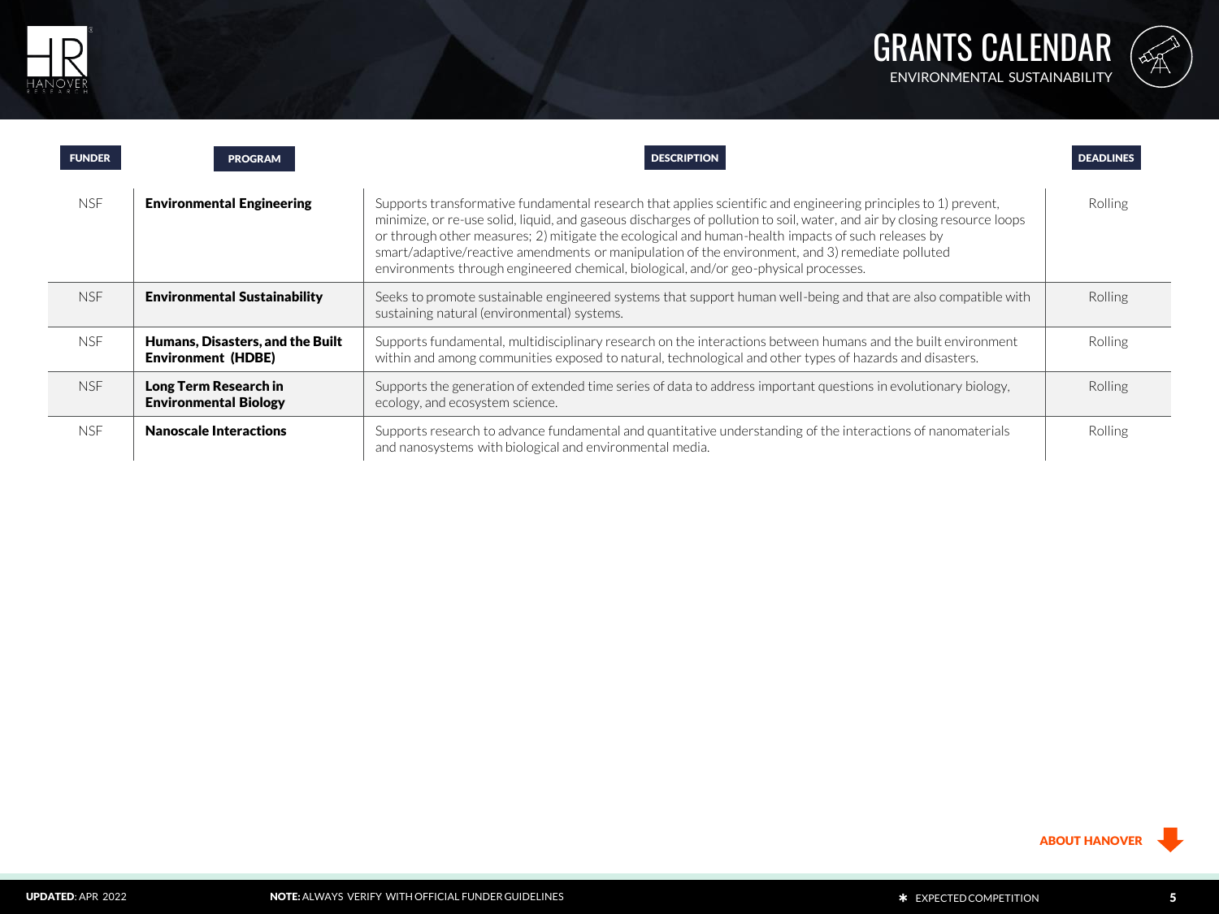



| <b>FUNDER</b> | <b>PROGRAM</b>                                                | <b>DESCRIPTION</b>                                                                                                                                                                                                                                                                                                                                                                                                                                                                                                                           | <b>DEADLINES</b> |
|---------------|---------------------------------------------------------------|----------------------------------------------------------------------------------------------------------------------------------------------------------------------------------------------------------------------------------------------------------------------------------------------------------------------------------------------------------------------------------------------------------------------------------------------------------------------------------------------------------------------------------------------|------------------|
| NSF.          | <b>Environmental Engineering</b>                              | Supports transformative fundamental research that applies scientific and engineering principles to 1) prevent,<br>minimize, or re-use solid, liquid, and gaseous discharges of pollution to soil, water, and air by closing resource loops<br>or through other measures; 2) mitigate the ecological and human-health impacts of such releases by<br>smart/adaptive/reactive amendments or manipulation of the environment, and 3) remediate polluted<br>environments through engineered chemical, biological, and/or geo-physical processes. | Rolling          |
| <b>NSF</b>    | <b>Environmental Sustainability</b>                           | Seeks to promote sustainable engineered systems that support human well-being and that are also compatible with<br>sustaining natural (environmental) systems.                                                                                                                                                                                                                                                                                                                                                                               | Rolling          |
| <b>NSF</b>    | Humans, Disasters, and the Built<br><b>Environment (HDBE)</b> | Supports fundamental, multidisciplinary research on the interactions between humans and the built environment<br>within and among communities exposed to natural, technological and other types of hazards and disasters.                                                                                                                                                                                                                                                                                                                    | Rolling          |
| <b>NSF</b>    | Long Term Research in<br><b>Environmental Biology</b>         | Supports the generation of extended time series of data to address important questions in evolutionary biology.<br>ecology, and ecosystem science.                                                                                                                                                                                                                                                                                                                                                                                           | <b>Rolling</b>   |
| N.SF          | <b>Nanoscale Interactions</b>                                 | Supports research to advance fundamental and quantitative understanding of the interactions of nanomaterials<br>and nanosystems with biological and environmental media.                                                                                                                                                                                                                                                                                                                                                                     | Rolling          |

ABOUT HANOVER